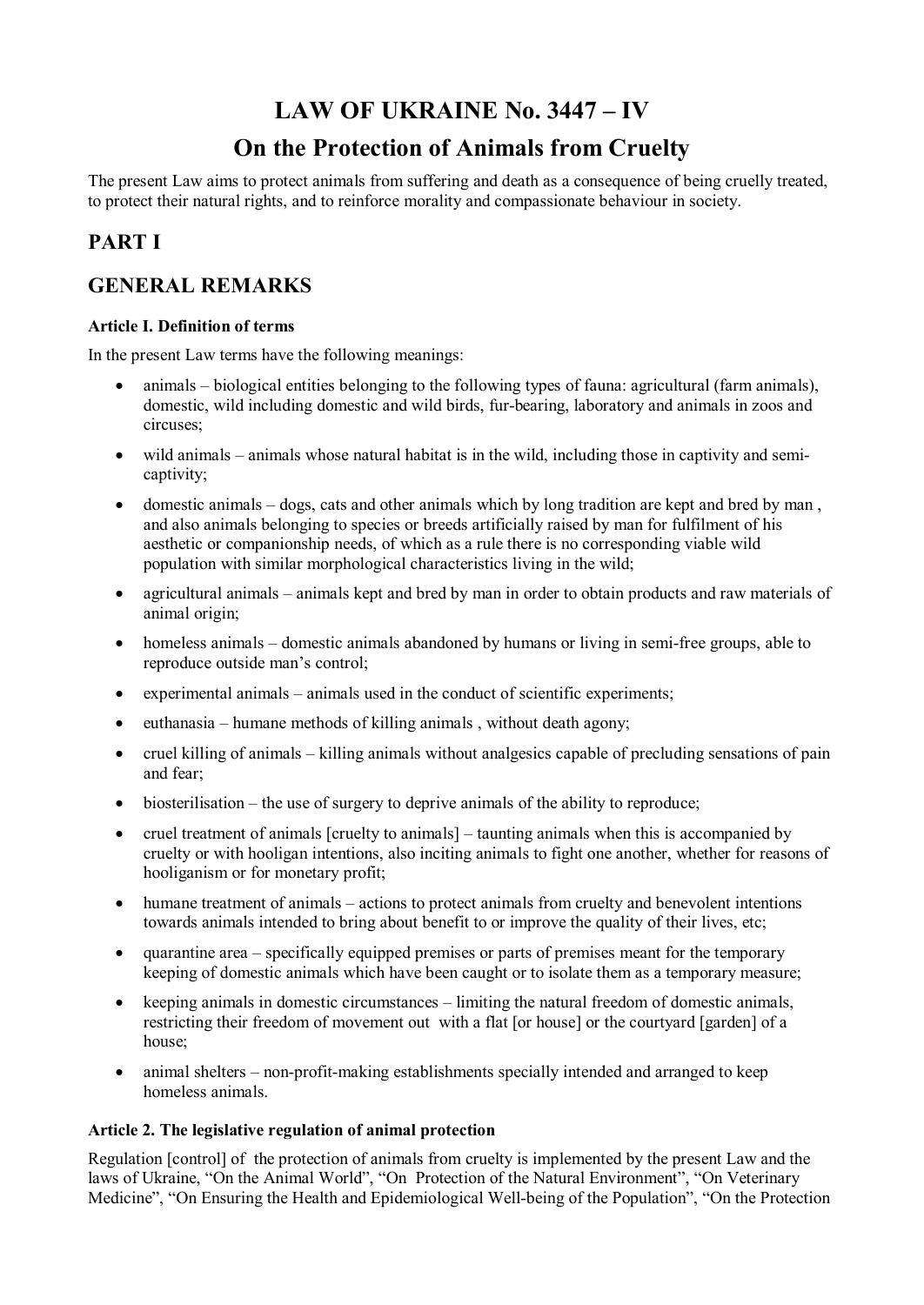# **LAW OF UKRAINE No. 3447 – IV**

# **On the Protection of Animals from Cruelty**

The present Law aims to protect animals from suffering and death as a consequence of being cruelly treated, to protect their natural rights, and to reinforce morality and compassionate behaviour in society.

## **PART I**

## **GENERAL REMARKS**

## **Article I. Definition of terms**

In the present Law terms have the following meanings:

- animals biological entities belonging to the following types of fauna: agricultural (farm animals), domestic, wild including domestic and wild birds, fur-bearing, laboratory and animals in zoos and circuses;
- wild animals animals whose natural habitat is in the wild, including those in captivity and semicaptivity;
- · domestic animals dogs, cats and other animals which by long tradition are kept and bred by man , and also animals belonging to species or breeds artificially raised by man for fulfilment of his aesthetic or companionship needs, of which as a rule there is no corresponding viable wild population with similar morphological characteristics living in the wild;
- agricultural animals animals kept and bred by man in order to obtain products and raw materials of animal origin;
- homeless animals domestic animals abandoned by humans or living in semi-free groups, able to reproduce outside man's control;
- experimental animals animals used in the conduct of scientific experiments;
- euthanasia humane methods of killing animals, without death agony;
- cruel killing of animals killing animals without analgesics capable of precluding sensations of pain and fear;
- biosterilisation the use of surgery to deprive animals of the ability to reproduce;
- cruel treatment of animals [cruelty to animals] taunting animals when this is accompanied by cruelty or with hooligan intentions, also inciting animals to fight one another, whether for reasons of hooliganism or for monetary profit;
- humane treatment of animals actions to protect animals from cruelty and benevolent intentions towards animals intended to bring about benefit to or improve the quality of their lives, etc;
- · quarantine area specifically equipped premises or parts of premises meant for the temporary keeping of domestic animals which have been caught or to isolate them as a temporary measure;
- · keeping animals in domestic circumstances limiting the natural freedom of domestic animals, restricting their freedom of movement out with a flat [or house] or the courtyard [garden] of a house;
- animal shelters non-profit-making establishments specially intended and arranged to keep homeless animals.

## **Article 2. The legislative regulation of animal protection**

Regulation [control] of the protection of animals from cruelty is implemented by the present Law and the laws of Ukraine, "On the Animal World", "On Protection of the Natural Environment", "On Veterinary Medicine", "On Ensuring the Health and Epidemiological Well-being of the Population", "On the Protection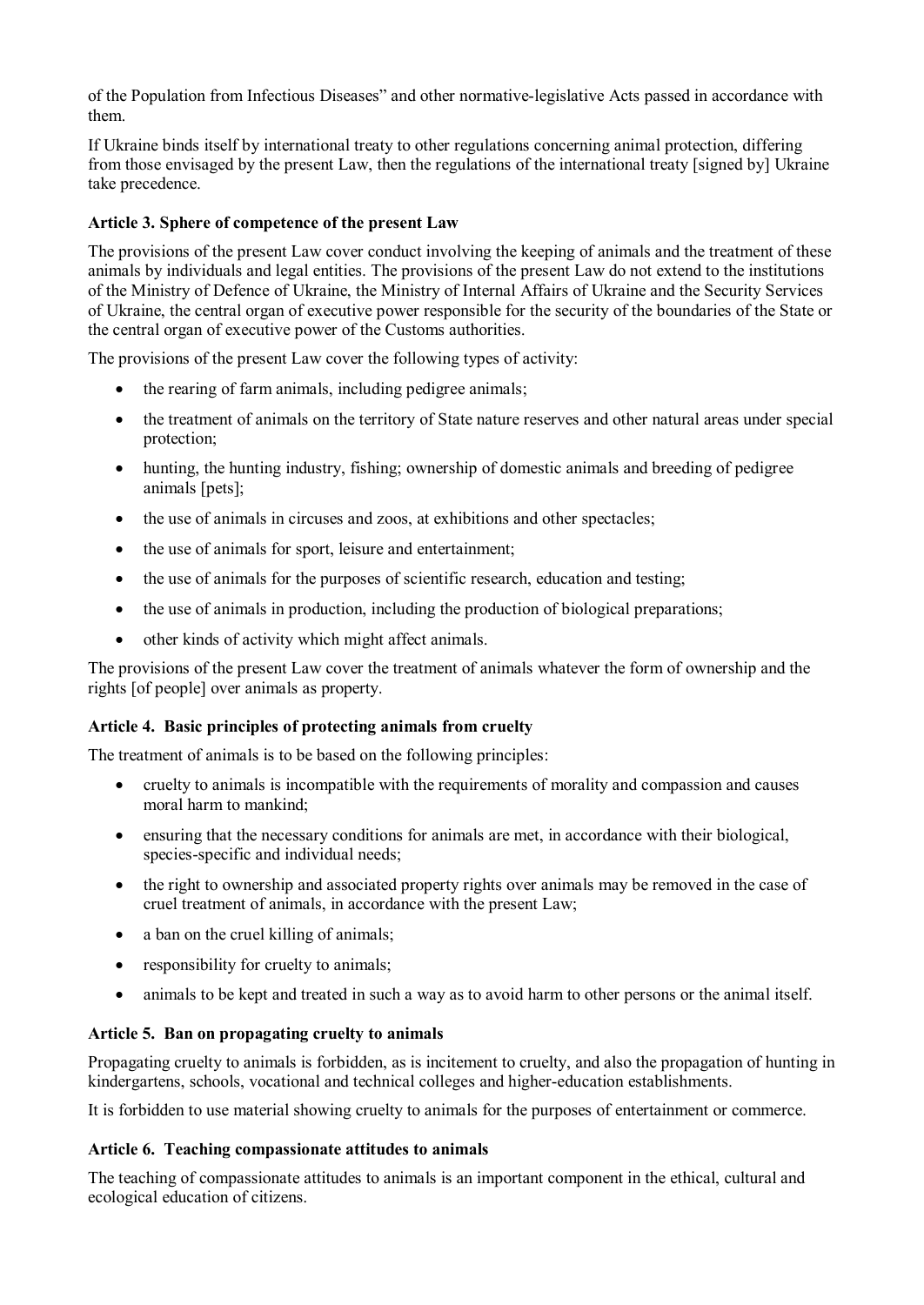of the Population from Infectious Diseases" and other normative-legislative Acts passed in accordance with them.

If Ukraine binds itself by international treaty to other regulations concerning animal protection, differing from those envisaged by the present Law, then the regulations of the international treaty [signed by] Ukraine take precedence.

### **Article 3. Sphere of competence of the present Law**

The provisions of the present Law cover conduct involving the keeping of animals and the treatment of these animals by individuals and legal entities. The provisions of the present Law do not extend to the institutions of the Ministry of Defence of Ukraine, the Ministry of Internal Affairs of Ukraine and the Security Services of Ukraine, the central organ of executive power responsible for the security of the boundaries of the State or the central organ of executive power of the Customs authorities.

The provisions of the present Law cover the following types of activity:

- the rearing of farm animals, including pedigree animals;
- · the treatment of animals on the territory of State nature reserves and other natural areas under special protection;
- hunting, the hunting industry, fishing; ownership of domestic animals and breeding of pedigree animals [pets];
- the use of animals in circuses and zoos, at exhibitions and other spectacles;
- the use of animals for sport, leisure and entertainment;
- · the use of animals for the purposes of scientific research, education and testing;
- the use of animals in production, including the production of biological preparations;
- other kinds of activity which might affect animals.

The provisions of the present Law cover the treatment of animals whatever the form of ownership and the rights [of people] over animals as property.

#### **Article 4. Basic principles of protecting animals from cruelty**

The treatment of animals is to be based on the following principles:

- · cruelty to animals is incompatible with the requirements of morality and compassion and causes moral harm to mankind;
- ensuring that the necessary conditions for animals are met, in accordance with their biological, species-specific and individual needs;
- the right to ownership and associated property rights over animals may be removed in the case of cruel treatment of animals, in accordance with the present Law;
- a ban on the cruel killing of animals;
- responsibility for cruelty to animals;
- · animals to be kept and treated in such a way as to avoid harm to other persons or the animal itself.

#### **Article 5. Ban on propagating cruelty to animals**

Propagating cruelty to animals is forbidden, as is incitement to cruelty, and also the propagation of hunting in kindergartens, schools, vocational and technical colleges and higher-education establishments.

It is forbidden to use material showing cruelty to animals for the purposes of entertainment or commerce.

#### **Article 6. Teaching compassionate attitudes to animals**

The teaching of compassionate attitudes to animals is an important component in the ethical, cultural and ecological education of citizens.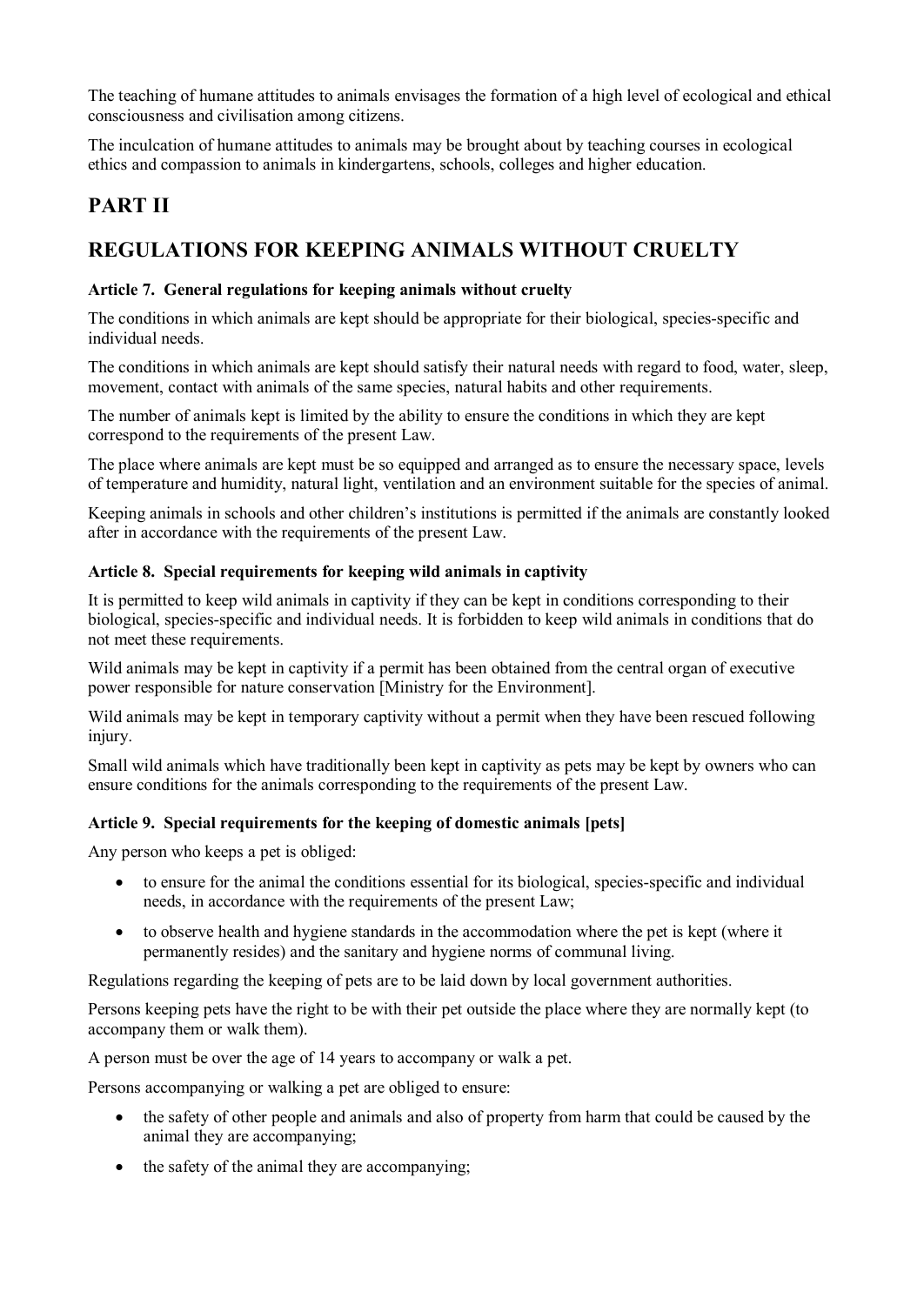The teaching of humane attitudes to animals envisages the formation of a high level of ecological and ethical consciousness and civilisation among citizens.

The inculcation of humane attitudes to animals may be brought about by teaching courses in ecological ethics and compassion to animals in kindergartens, schools, colleges and higher education.

## **PART II**

## **REGULATIONS FOR KEEPING ANIMALS WITHOUT CRUELTY**

## **Article 7. General regulations for keeping animals without cruelty**

The conditions in which animals are kept should be appropriate for their biological, species-specific and individual needs.

The conditions in which animals are kept should satisfy their natural needs with regard to food, water, sleep, movement, contact with animals of the same species, natural habits and other requirements.

The number of animals kept is limited by the ability to ensure the conditions in which they are kept correspond to the requirements of the present Law.

The place where animals are kept must be so equipped and arranged as to ensure the necessary space, levels of temperature and humidity, natural light, ventilation and an environment suitable for the species of animal.

Keeping animals in schools and other children's institutions is permitted if the animals are constantly looked after in accordance with the requirements of the present Law.

## **Article 8. Special requirements for keeping wild animals in captivity**

It is permitted to keep wild animals in captivity if they can be kept in conditions corresponding to their biological, species-specific and individual needs. It is forbidden to keep wild animals in conditions that do not meet these requirements.

Wild animals may be kept in captivity if a permit has been obtained from the central organ of executive power responsible for nature conservation [Ministry for the Environment].

Wild animals may be kept in temporary captivity without a permit when they have been rescued following injury.

Small wild animals which have traditionally been kept in captivity as pets may be kept by owners who can ensure conditions for the animals corresponding to the requirements of the present Law.

## **Article 9. Special requirements for the keeping of domestic animals [pets]**

Any person who keeps a pet is obliged:

- · to ensure for the animal the conditions essential for its biological, species-specific and individual needs, in accordance with the requirements of the present Law;
- · to observe health and hygiene standards in the accommodation where the pet is kept (where it permanently resides) and the sanitary and hygiene norms of communal living.

Regulations regarding the keeping of pets are to be laid down by local government authorities.

Persons keeping pets have the right to be with their pet outside the place where they are normally kept (to accompany them or walk them).

A person must be over the age of 14 years to accompany or walk a pet.

Persons accompanying or walking a pet are obliged to ensure:

- · the safety of other people and animals and also of property from harm that could be caused by the animal they are accompanying;
- the safety of the animal they are accompanying;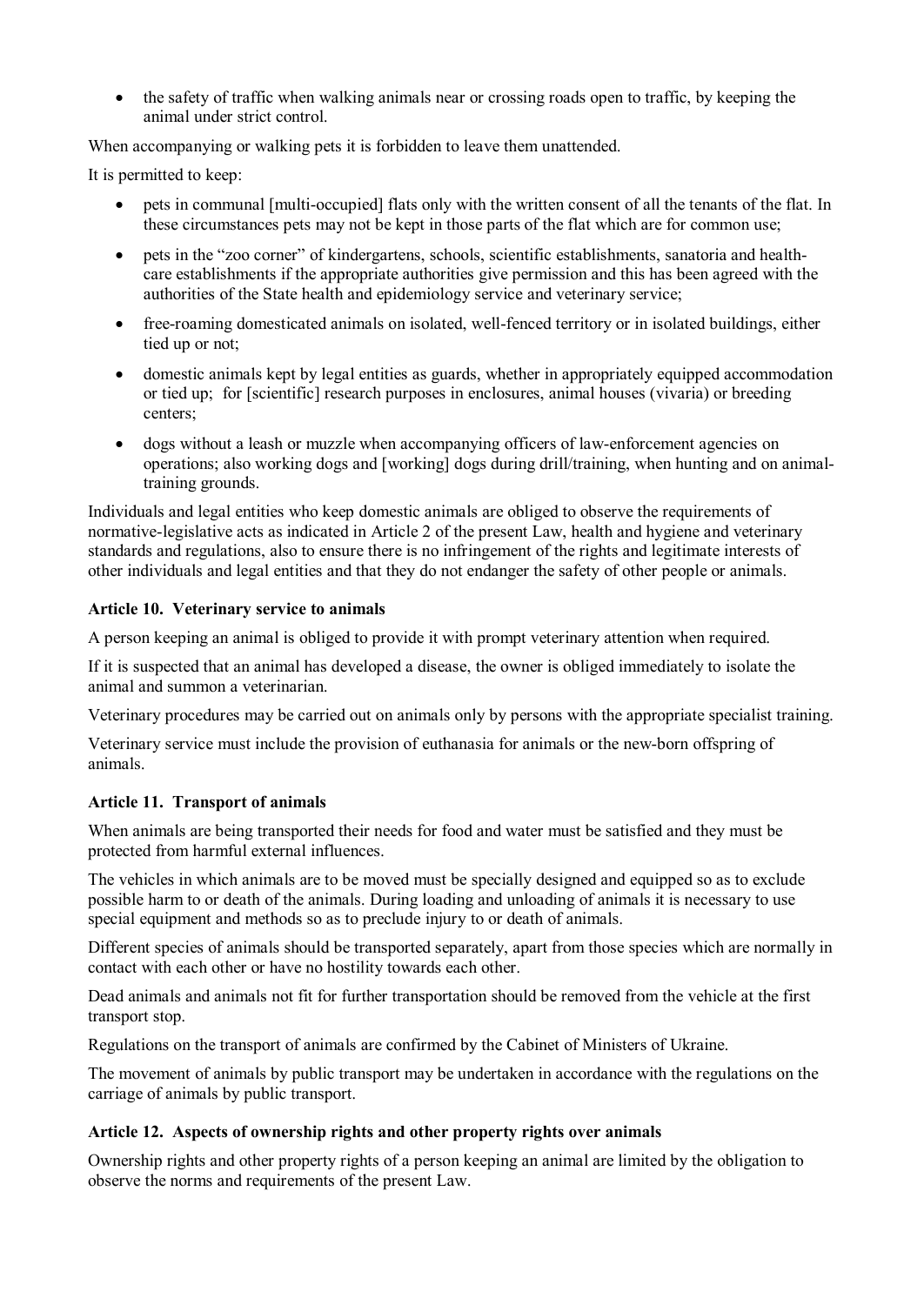· the safety of traffic when walking animals near or crossing roads open to traffic, by keeping the animal under strict control.

When accompanying or walking pets it is forbidden to leave them unattended.

It is permitted to keep:

- · pets in communal [multi-occupied] flats only with the written consent of all the tenants of the flat. In these circumstances pets may not be kept in those parts of the flat which are for common use;
- · pets in the "zoo corner" of kindergartens, schools, scientific establishments, sanatoria and healthcare establishments if the appropriate authorities give permission and this has been agreed with the authorities of the State health and epidemiology service and veterinary service;
- · free-roaming domesticated animals on isolated, well-fenced territory or in isolated buildings, either tied up or not;
- · domestic animals kept by legal entities as guards, whether in appropriately equipped accommodation or tied up; for [scientific] research purposes in enclosures, animal houses (vivaria) or breeding centers;
- · dogs without a leash or muzzle when accompanying officers of law-enforcement agencies on operations; also working dogs and [working] dogs during drill/training, when hunting and on animaltraining grounds.

Individuals and legal entities who keep domestic animals are obliged to observe the requirements of normative-legislative acts as indicated in Article 2 of the present Law, health and hygiene and veterinary standards and regulations, also to ensure there is no infringement of the rights and legitimate interests of other individuals and legal entities and that they do not endanger the safety of other people or animals.

#### **Article 10. Veterinary service to animals**

A person keeping an animal is obliged to provide it with prompt veterinary attention when required.

If it is suspected that an animal has developed a disease, the owner is obliged immediately to isolate the animal and summon a veterinarian.

Veterinary procedures may be carried out on animals only by persons with the appropriate specialist training.

Veterinary service must include the provision of euthanasia for animals or the new-born offspring of animals.

## **Article 11. Transport of animals**

When animals are being transported their needs for food and water must be satisfied and they must be protected from harmful external influences.

The vehicles in which animals are to be moved must be specially designed and equipped so as to exclude possible harm to or death of the animals. During loading and unloading of animals it is necessary to use special equipment and methods so as to preclude injury to or death of animals.

Different species of animals should be transported separately, apart from those species which are normally in contact with each other or have no hostility towards each other.

Dead animals and animals not fit for further transportation should be removed from the vehicle at the first transport stop.

Regulations on the transport of animals are confirmed by the Cabinet of Ministers of Ukraine.

The movement of animals by public transport may be undertaken in accordance with the regulations on the carriage of animals by public transport.

## **Article 12. Aspects of ownership rights and other property rights over animals**

Ownership rights and other property rights of a person keeping an animal are limited by the obligation to observe the norms and requirements of the present Law.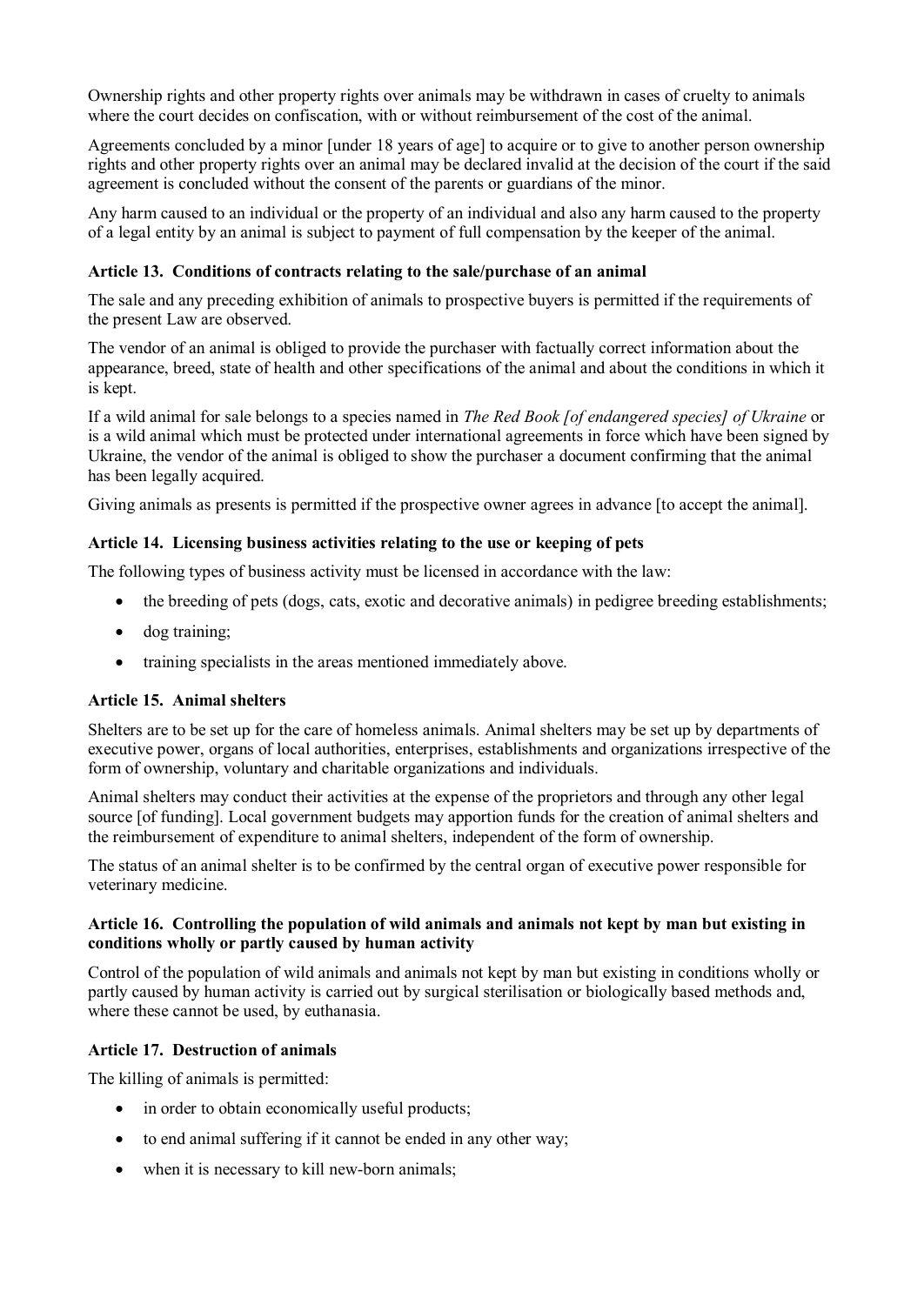Ownership rights and other property rights over animals may be withdrawn in cases of cruelty to animals where the court decides on confiscation, with or without reimbursement of the cost of the animal.

Agreements concluded by a minor [under 18 years of age] to acquire or to give to another person ownership rights and other property rights over an animal may be declared invalid at the decision of the court if the said agreement is concluded without the consent of the parents or guardians of the minor.

Any harm caused to an individual or the property of an individual and also any harm caused to the property of a legal entity by an animal is subject to payment of full compensation by the keeper of the animal.

#### **Article 13. Conditions of contracts relating to the sale/purchase of an animal**

The sale and any preceding exhibition of animals to prospective buyers is permitted if the requirements of the present Law are observed.

The vendor of an animal is obliged to provide the purchaser with factually correct information about the appearance, breed, state of health and other specifications of the animal and about the conditions in which it is kept.

If a wild animal for sale belongs to a species named in *The Red Book [of endangered species] of Ukraine* or is a wild animal which must be protected under international agreements in force which have been signed by Ukraine, the vendor of the animal is obliged to show the purchaser a document confirming that the animal has been legally acquired.

Giving animals as presents is permitted if the prospective owner agrees in advance [to accept the animal].

#### **Article 14. Licensing business activities relating to the use or keeping of pets**

The following types of business activity must be licensed in accordance with the law:

- the breeding of pets (dogs, cats, exotic and decorative animals) in pedigree breeding establishments;
- dog training;
- training specialists in the areas mentioned immediately above.

#### **Article 15. Animal shelters**

Shelters are to be set up for the care of homeless animals. Animal shelters may be set up by departments of executive power, organs of local authorities, enterprises, establishments and organizations irrespective of the form of ownership, voluntary and charitable organizations and individuals.

Animal shelters may conduct their activities at the expense of the proprietors and through any other legal source [of funding]. Local government budgets may apportion funds for the creation of animal shelters and the reimbursement of expenditure to animal shelters, independent of the form of ownership.

The status of an animal shelter is to be confirmed by the central organ of executive power responsible for veterinary medicine.

#### **Article 16. Controlling the population of wild animals and animals not kept by man but existing in conditions wholly or partly caused by human activity**

Control of the population of wild animals and animals not kept by man but existing in conditions wholly or partly caused by human activity is carried out by surgical sterilisation or biologically based methods and, where these cannot be used, by euthanasia.

#### **Article 17. Destruction of animals**

The killing of animals is permitted:

- in order to obtain economically useful products;
- to end animal suffering if it cannot be ended in any other way;
- when it is necessary to kill new-born animals;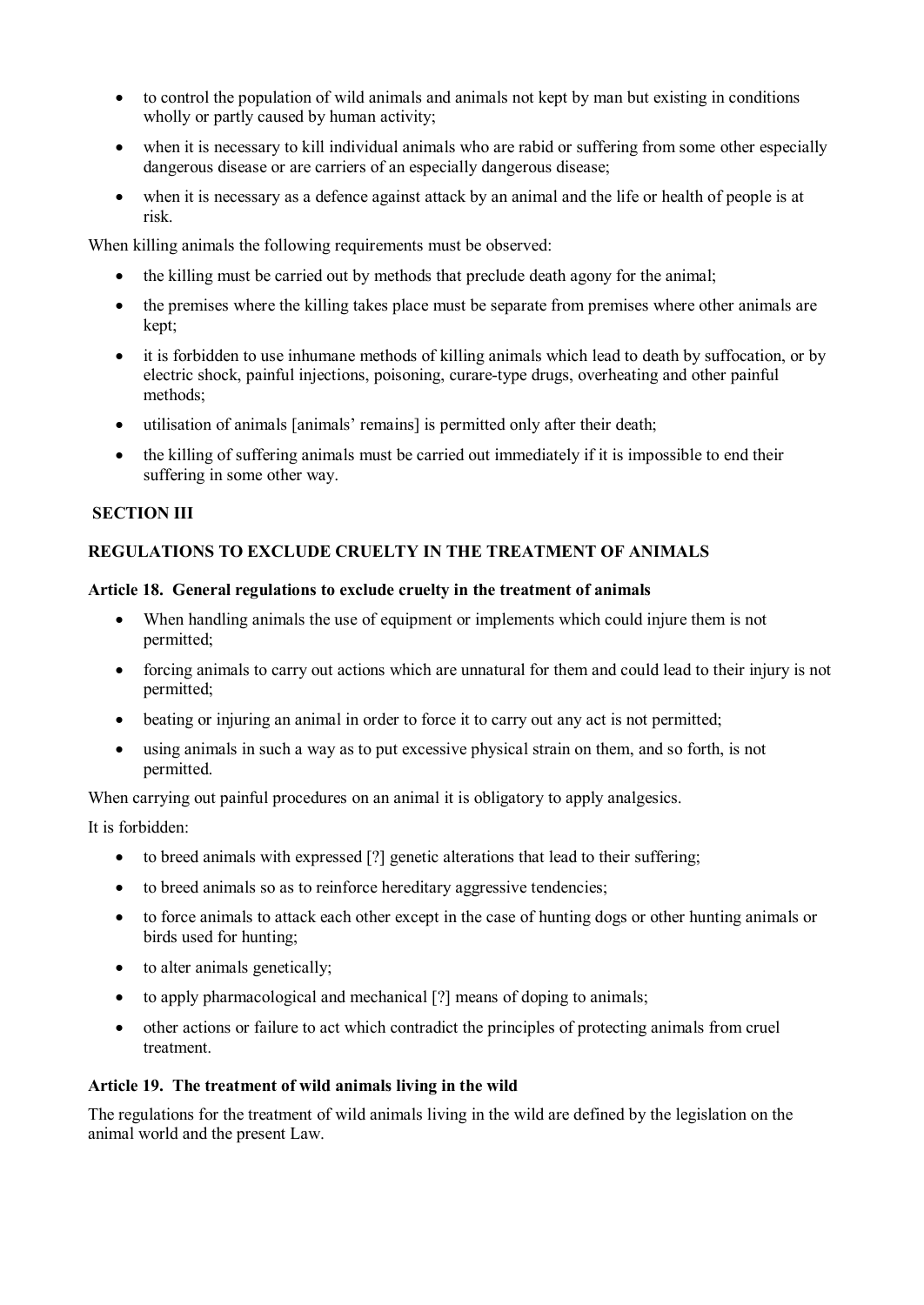- · to control the population of wild animals and animals not kept by man but existing in conditions wholly or partly caused by human activity;
- when it is necessary to kill individual animals who are rabid or suffering from some other especially dangerous disease or are carriers of an especially dangerous disease;
- when it is necessary as a defence against attack by an animal and the life or health of people is at risk.

When killing animals the following requirements must be observed:

- the killing must be carried out by methods that preclude death agony for the animal;
- the premises where the killing takes place must be separate from premises where other animals are kept;
- · it is forbidden to use inhumane methods of killing animals which lead to death by suffocation, or by electric shock, painful injections, poisoning, curare-type drugs, overheating and other painful methods;
- · utilisation of animals [animals' remains] is permitted only after their death;
- the killing of suffering animals must be carried out immediately if it is impossible to end their suffering in some other way.

#### **SECTION III**

## **REGULATIONS TO EXCLUDE CRUELTY IN THE TREATMENT OF ANIMALS**

#### **Article 18. General regulations to exclude cruelty in the treatment of animals**

- · When handling animals the use of equipment or implements which could injure them is not permitted;
- · forcing animals to carry out actions which are unnatural for them and could lead to their injury is not permitted;
- beating or injuring an animal in order to force it to carry out any act is not permitted;
- using animals in such a way as to put excessive physical strain on them, and so forth, is not permitted.

When carrying out painful procedures on an animal it is obligatory to apply analgesics.

It is forbidden:

- to breed animals with expressed [?] genetic alterations that lead to their suffering;
- to breed animals so as to reinforce hereditary aggressive tendencies;
- · to force animals to attack each other except in the case of hunting dogs or other hunting animals or birds used for hunting;
- to alter animals genetically;
- to apply pharmacological and mechanical [?] means of doping to animals;
- · other actions or failure to act which contradict the principles of protecting animals from cruel treatment.

#### **Article 19. The treatment of wild animals living in the wild**

The regulations for the treatment of wild animals living in the wild are defined by the legislation on the animal world and the present Law.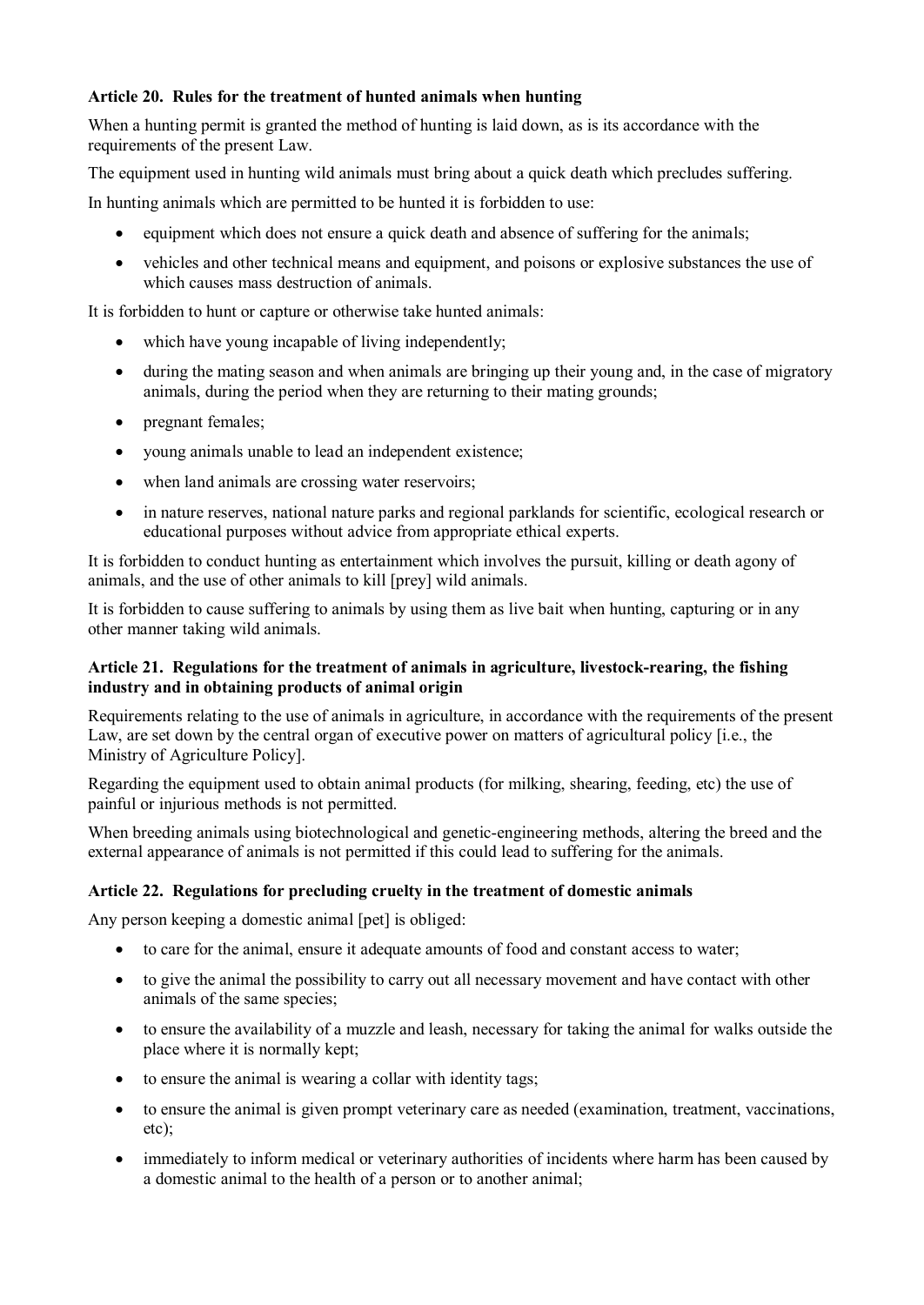## **Article 20. Rules for the treatment of hunted animals when hunting**

When a hunting permit is granted the method of hunting is laid down, as is its accordance with the requirements of the present Law.

The equipment used in hunting wild animals must bring about a quick death which precludes suffering.

In hunting animals which are permitted to be hunted it is forbidden to use:

- equipment which does not ensure a quick death and absence of suffering for the animals;
- · vehicles and other technical means and equipment, and poisons or explosive substances the use of which causes mass destruction of animals.

It is forbidden to hunt or capture or otherwise take hunted animals:

- which have young incapable of living independently;
- · during the mating season and when animals are bringing up their young and, in the case of migratory animals, during the period when they are returning to their mating grounds;
- pregnant females;
- · young animals unable to lead an independent existence;
- when land animals are crossing water reservoirs;
- · in nature reserves, national nature parks and regional parklands for scientific, ecological research or educational purposes without advice from appropriate ethical experts.

It is forbidden to conduct hunting as entertainment which involves the pursuit, killing or death agony of animals, and the use of other animals to kill [prey] wild animals.

It is forbidden to cause suffering to animals by using them as live bait when hunting, capturing or in any other manner taking wild animals.

## **Article 21. Regulations for the treatment of animals in agriculture, livestock-rearing, the fishing industry and in obtaining products of animal origin**

Requirements relating to the use of animals in agriculture, in accordance with the requirements of the present Law, are set down by the central organ of executive power on matters of agricultural policy [i.e., the Ministry of Agriculture Policy].

Regarding the equipment used to obtain animal products (for milking, shearing, feeding, etc) the use of painful or injurious methods is not permitted.

When breeding animals using biotechnological and genetic-engineering methods, altering the breed and the external appearance of animals is not permitted if this could lead to suffering for the animals.

## **Article 22. Regulations for precluding cruelty in the treatment of domestic animals**

Any person keeping a domestic animal [pet] is obliged:

- · to care for the animal, ensure it adequate amounts of food and constant access to water;
- to give the animal the possibility to carry out all necessary movement and have contact with other animals of the same species;
- · to ensure the availability of a muzzle and leash, necessary for taking the animal for walks outside the place where it is normally kept;
- to ensure the animal is wearing a collar with identity tags;
- · to ensure the animal is given prompt veterinary care as needed (examination, treatment, vaccinations, etc);
- immediately to inform medical or veterinary authorities of incidents where harm has been caused by a domestic animal to the health of a person or to another animal;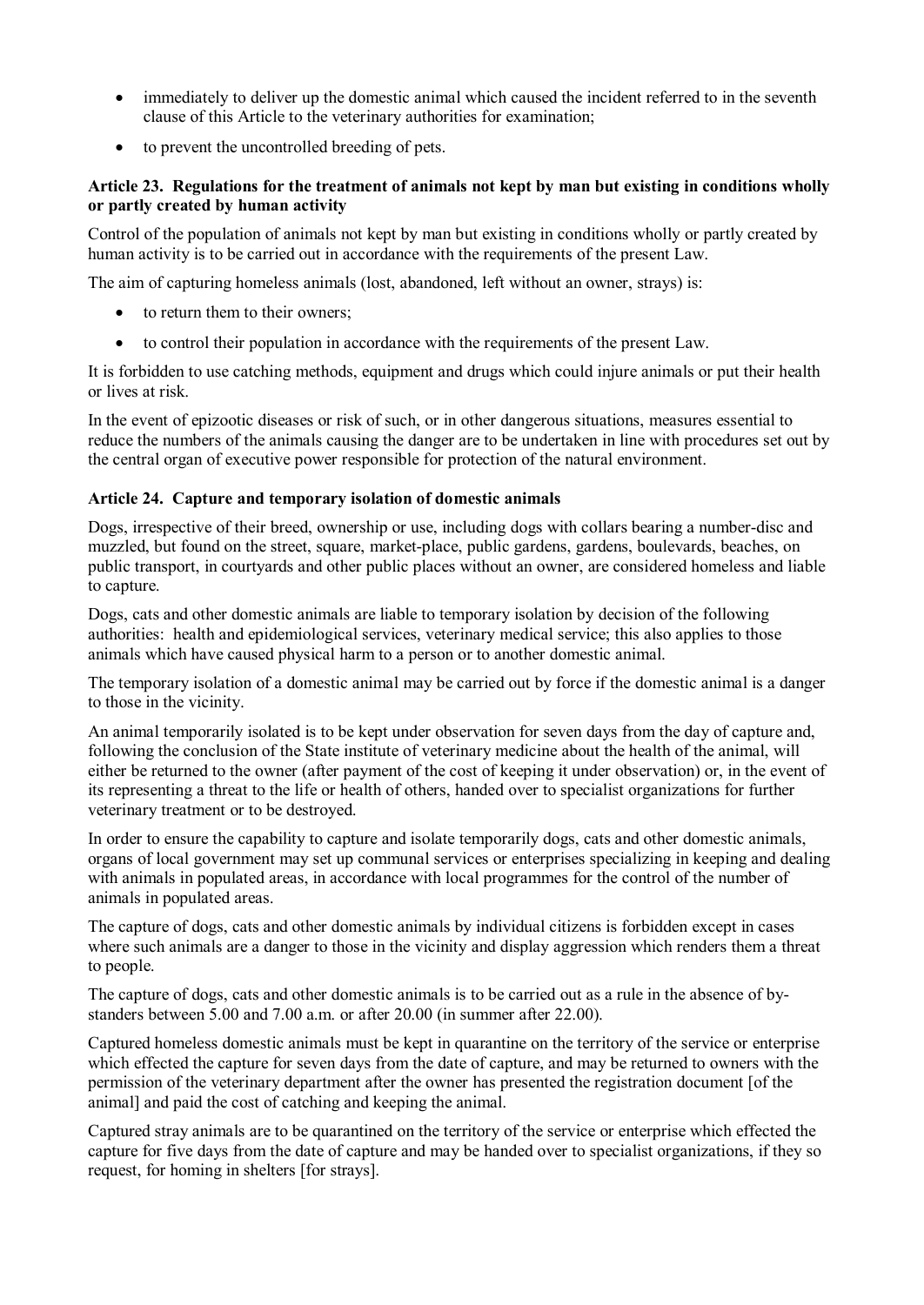- immediately to deliver up the domestic animal which caused the incident referred to in the seventh clause of this Article to the veterinary authorities for examination;
- · to prevent the uncontrolled breeding of pets.

## **Article 23. Regulations for the treatment of animals not kept by man but existing in conditions wholly or partly created by human activity**

Control of the population of animals not kept by man but existing in conditions wholly or partly created by human activity is to be carried out in accordance with the requirements of the present Law.

The aim of capturing homeless animals (lost, abandoned, left without an owner, strays) is:

- · to return them to their owners;
- · to control their population in accordance with the requirements of the present Law.

It is forbidden to use catching methods, equipment and drugs which could injure animals or put their health or lives at risk.

In the event of epizootic diseases or risk of such, or in other dangerous situations, measures essential to reduce the numbers of the animals causing the danger are to be undertaken in line with procedures set out by the central organ of executive power responsible for protection of the natural environment.

## **Article 24. Capture and temporary isolation of domestic animals**

Dogs, irrespective of their breed, ownership or use, including dogs with collars bearing a number-disc and muzzled, but found on the street, square, market-place, public gardens, gardens, boulevards, beaches, on public transport, in courtyards and other public places without an owner, are considered homeless and liable to capture.

Dogs, cats and other domestic animals are liable to temporary isolation by decision of the following authorities: health and epidemiological services, veterinary medical service; this also applies to those animals which have caused physical harm to a person or to another domestic animal.

The temporary isolation of a domestic animal may be carried out by force if the domestic animal is a danger to those in the vicinity.

An animal temporarily isolated is to be kept under observation for seven days from the day of capture and, following the conclusion of the State institute of veterinary medicine about the health of the animal, will either be returned to the owner (after payment of the cost of keeping it under observation) or, in the event of its representing a threat to the life or health of others, handed over to specialist organizations for further veterinary treatment or to be destroyed.

In order to ensure the capability to capture and isolate temporarily dogs, cats and other domestic animals, organs of local government may set up communal services or enterprises specializing in keeping and dealing with animals in populated areas, in accordance with local programmes for the control of the number of animals in populated areas.

The capture of dogs, cats and other domestic animals by individual citizens is forbidden except in cases where such animals are a danger to those in the vicinity and display aggression which renders them a threat to people.

The capture of dogs, cats and other domestic animals is to be carried out as a rule in the absence of bystanders between 5.00 and 7.00 a.m. or after 20.00 (in summer after 22.00).

Captured homeless domestic animals must be kept in quarantine on the territory of the service or enterprise which effected the capture for seven days from the date of capture, and may be returned to owners with the permission of the veterinary department after the owner has presented the registration document [of the animal] and paid the cost of catching and keeping the animal.

Captured stray animals are to be quarantined on the territory of the service or enterprise which effected the capture for five days from the date of capture and may be handed over to specialist organizations, if they so request, for homing in shelters [for strays].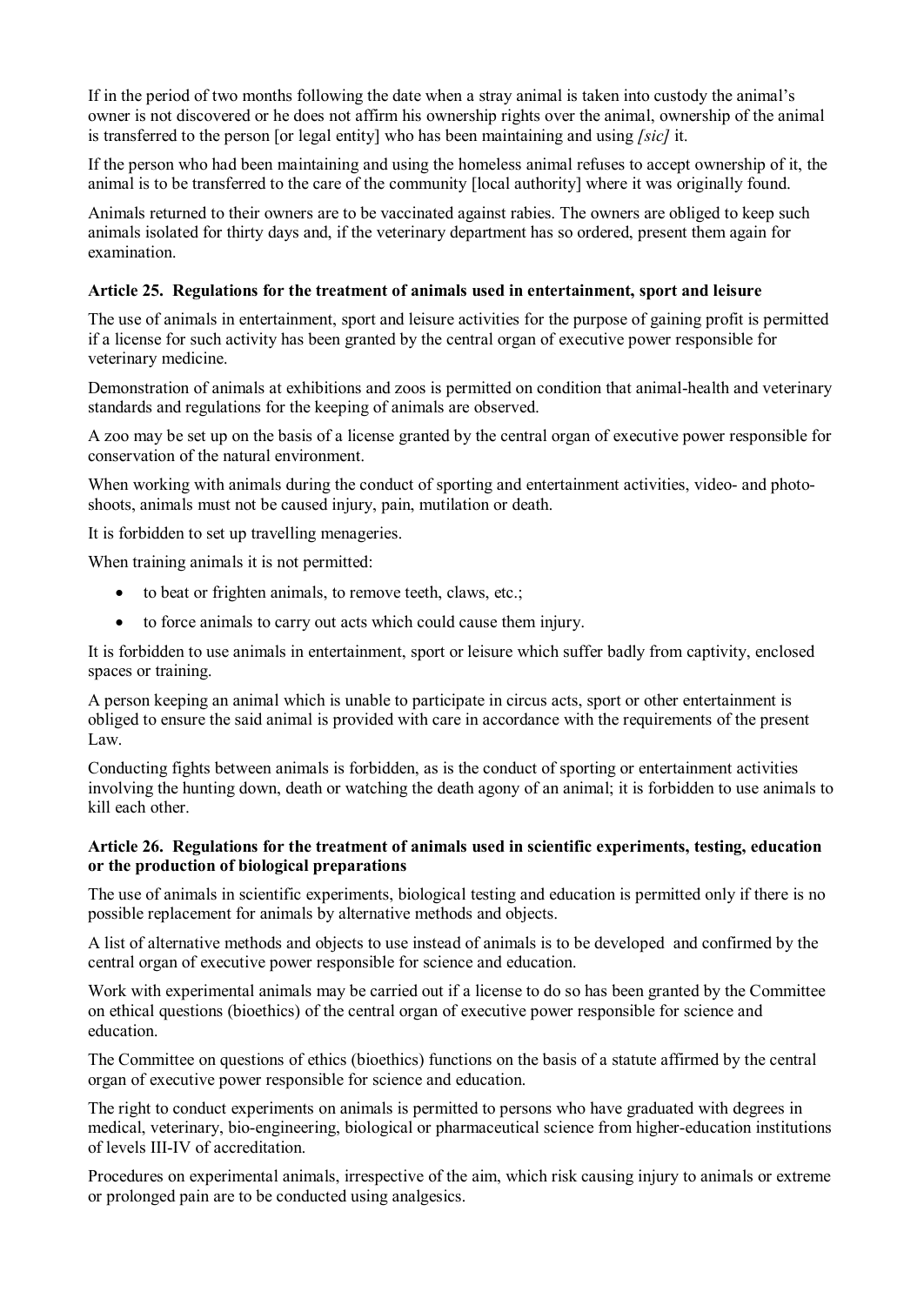If in the period of two months following the date when a stray animal is taken into custody the animal's owner is not discovered or he does not affirm his ownership rights over the animal, ownership of the animal is transferred to the person [or legal entity] who has been maintaining and using *[sic]* it.

If the person who had been maintaining and using the homeless animal refuses to accept ownership of it, the animal is to be transferred to the care of the community [local authority] where it was originally found.

Animals returned to their owners are to be vaccinated against rabies. The owners are obliged to keep such animals isolated for thirty days and, if the veterinary department has so ordered, present them again for examination.

#### **Article 25. Regulations for the treatment of animals used in entertainment, sport and leisure**

The use of animals in entertainment, sport and leisure activities for the purpose of gaining profit is permitted if a license for such activity has been granted by the central organ of executive power responsible for veterinary medicine.

Demonstration of animals at exhibitions and zoos is permitted on condition that animal-health and veterinary standards and regulations for the keeping of animals are observed.

A zoo may be set up on the basis of a license granted by the central organ of executive power responsible for conservation of the natural environment.

When working with animals during the conduct of sporting and entertainment activities, video- and photoshoots, animals must not be caused injury, pain, mutilation or death.

It is forbidden to set up travelling menageries.

When training animals it is not permitted:

- to beat or frighten animals, to remove teeth, claws, etc.;
- · to force animals to carry out acts which could cause them injury.

It is forbidden to use animals in entertainment, sport or leisure which suffer badly from captivity, enclosed spaces or training.

A person keeping an animal which is unable to participate in circus acts, sport or other entertainment is obliged to ensure the said animal is provided with care in accordance with the requirements of the present Law.

Conducting fights between animals is forbidden, as is the conduct of sporting or entertainment activities involving the hunting down, death or watching the death agony of an animal; it is forbidden to use animals to kill each other.

#### **Article 26. Regulations for the treatment of animals used in scientific experiments, testing, education or the production of biological preparations**

The use of animals in scientific experiments, biological testing and education is permitted only if there is no possible replacement for animals by alternative methods and objects.

A list of alternative methods and objects to use instead of animals is to be developed and confirmed by the central organ of executive power responsible for science and education.

Work with experimental animals may be carried out if a license to do so has been granted by the Committee on ethical questions (bioethics) of the central organ of executive power responsible for science and education.

The Committee on questions of ethics (bioethics) functions on the basis of a statute affirmed by the central organ of executive power responsible for science and education.

The right to conduct experiments on animals is permitted to persons who have graduated with degrees in medical, veterinary, bio-engineering, biological or pharmaceutical science from higher-education institutions of levels III-IV of accreditation.

Procedures on experimental animals, irrespective of the aim, which risk causing injury to animals or extreme or prolonged pain are to be conducted using analgesics.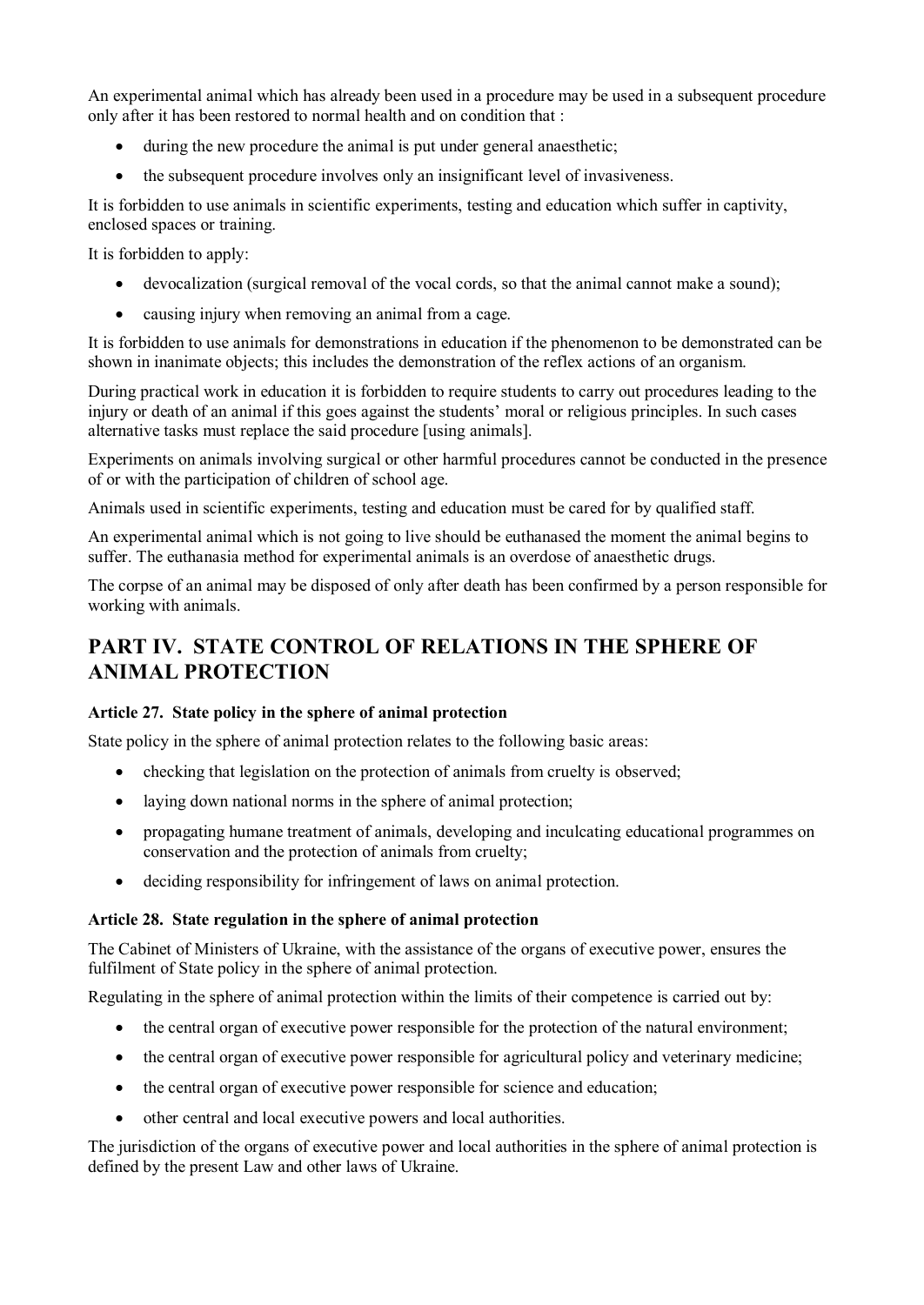An experimental animal which has already been used in a procedure may be used in a subsequent procedure only after it has been restored to normal health and on condition that :

- · during the new procedure the animal is put under general anaesthetic;
- the subsequent procedure involves only an insignificant level of invasiveness.

It is forbidden to use animals in scientific experiments, testing and education which suffer in captivity, enclosed spaces or training.

It is forbidden to apply:

- · devocalization (surgical removal of the vocal cords, so that the animal cannot make a sound);
- causing injury when removing an animal from a cage.

It is forbidden to use animals for demonstrations in education if the phenomenon to be demonstrated can be shown in inanimate objects; this includes the demonstration of the reflex actions of an organism.

During practical work in education it is forbidden to require students to carry out procedures leading to the injury or death of an animal if this goes against the students' moral or religious principles. In such cases alternative tasks must replace the said procedure [using animals].

Experiments on animals involving surgical or other harmful procedures cannot be conducted in the presence of or with the participation of children of school age.

Animals used in scientific experiments, testing and education must be cared for by qualified staff.

An experimental animal which is not going to live should be euthanased the moment the animal begins to suffer. The euthanasia method for experimental animals is an overdose of anaesthetic drugs.

The corpse of an animal may be disposed of only after death has been confirmed by a person responsible for working with animals.

## **PART IV. STATE CONTROL OF RELATIONS IN THE SPHERE OF ANIMAL PROTECTION**

## **Article 27. State policy in the sphere of animal protection**

State policy in the sphere of animal protection relates to the following basic areas:

- checking that legislation on the protection of animals from cruelty is observed;
- laying down national norms in the sphere of animal protection;
- · propagating humane treatment of animals, developing and inculcating educational programmes on conservation and the protection of animals from cruelty;
- · deciding responsibility for infringement of laws on animal protection.

## **Article 28. State regulation in the sphere of animal protection**

The Cabinet of Ministers of Ukraine, with the assistance of the organs of executive power, ensures the fulfilment of State policy in the sphere of animal protection.

Regulating in the sphere of animal protection within the limits of their competence is carried out by:

- the central organ of executive power responsible for the protection of the natural environment;
- the central organ of executive power responsible for agricultural policy and veterinary medicine;
- the central organ of executive power responsible for science and education;
- · other central and local executive powers and local authorities.

The jurisdiction of the organs of executive power and local authorities in the sphere of animal protection is defined by the present Law and other laws of Ukraine.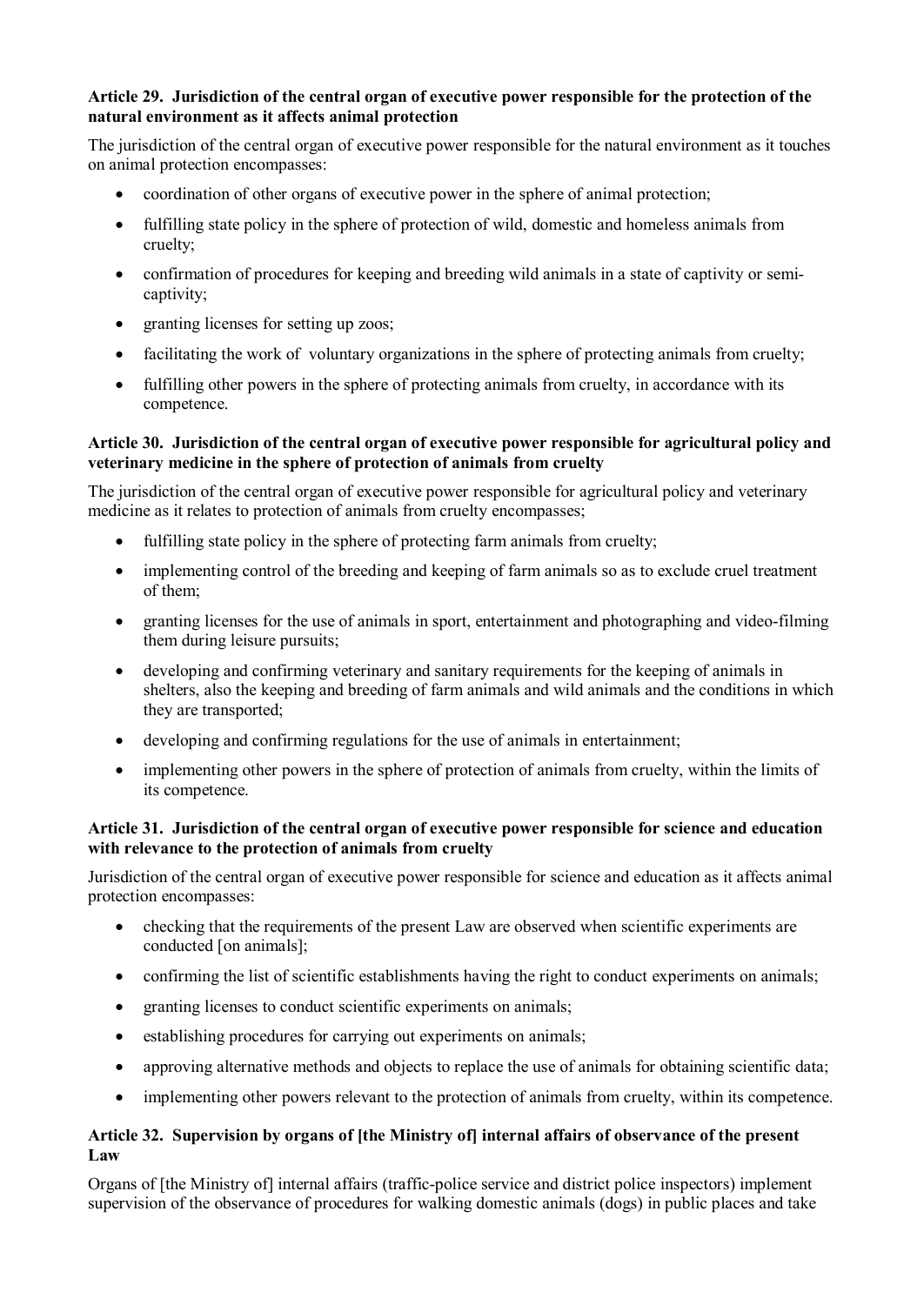### **Article 29. Jurisdiction of the central organ of executive power responsible for the protection of the natural environment as it affects animal protection**

The jurisdiction of the central organ of executive power responsible for the natural environment as it touches on animal protection encompasses:

- coordination of other organs of executive power in the sphere of animal protection;
- · fulfilling state policy in the sphere of protection of wild, domestic and homeless animals from cruelty;
- · confirmation of procedures for keeping and breeding wild animals in a state of captivity or semicaptivity;
- granting licenses for setting up zoos;
- facilitating the work of voluntary organizations in the sphere of protecting animals from cruelty;
- fulfilling other powers in the sphere of protecting animals from cruelty, in accordance with its competence.

## **Article 30. Jurisdiction of the central organ of executive power responsible for agricultural policy and veterinary medicine in the sphere of protection of animals from cruelty**

The jurisdiction of the central organ of executive power responsible for agricultural policy and veterinary medicine as it relates to protection of animals from cruelty encompasses;

- fulfilling state policy in the sphere of protecting farm animals from cruelty;
- implementing control of the breeding and keeping of farm animals so as to exclude cruel treatment of them;
- · granting licenses for the use of animals in sport, entertainment and photographing and video-filming them during leisure pursuits;
- · developing and confirming veterinary and sanitary requirements for the keeping of animals in shelters, also the keeping and breeding of farm animals and wild animals and the conditions in which they are transported;
- · developing and confirming regulations for the use of animals in entertainment;
- implementing other powers in the sphere of protection of animals from cruelty, within the limits of its competence.

## **Article 31. Jurisdiction of the central organ of executive power responsible for science and education with relevance to the protection of animals from cruelty**

Jurisdiction of the central organ of executive power responsible for science and education as it affects animal protection encompasses:

- · checking that the requirements of the present Law are observed when scientific experiments are conducted [on animals];
- confirming the list of scientific establishments having the right to conduct experiments on animals;
- granting licenses to conduct scientific experiments on animals;
- establishing procedures for carrying out experiments on animals;
- approving alternative methods and objects to replace the use of animals for obtaining scientific data;
- implementing other powers relevant to the protection of animals from cruelty, within its competence.

## **Article 32. Supervision by organs of [the Ministry of] internal affairs of observance of the present Law**

Organs of [the Ministry of] internal affairs (traffic-police service and district police inspectors) implement supervision of the observance of procedures for walking domestic animals (dogs) in public places and take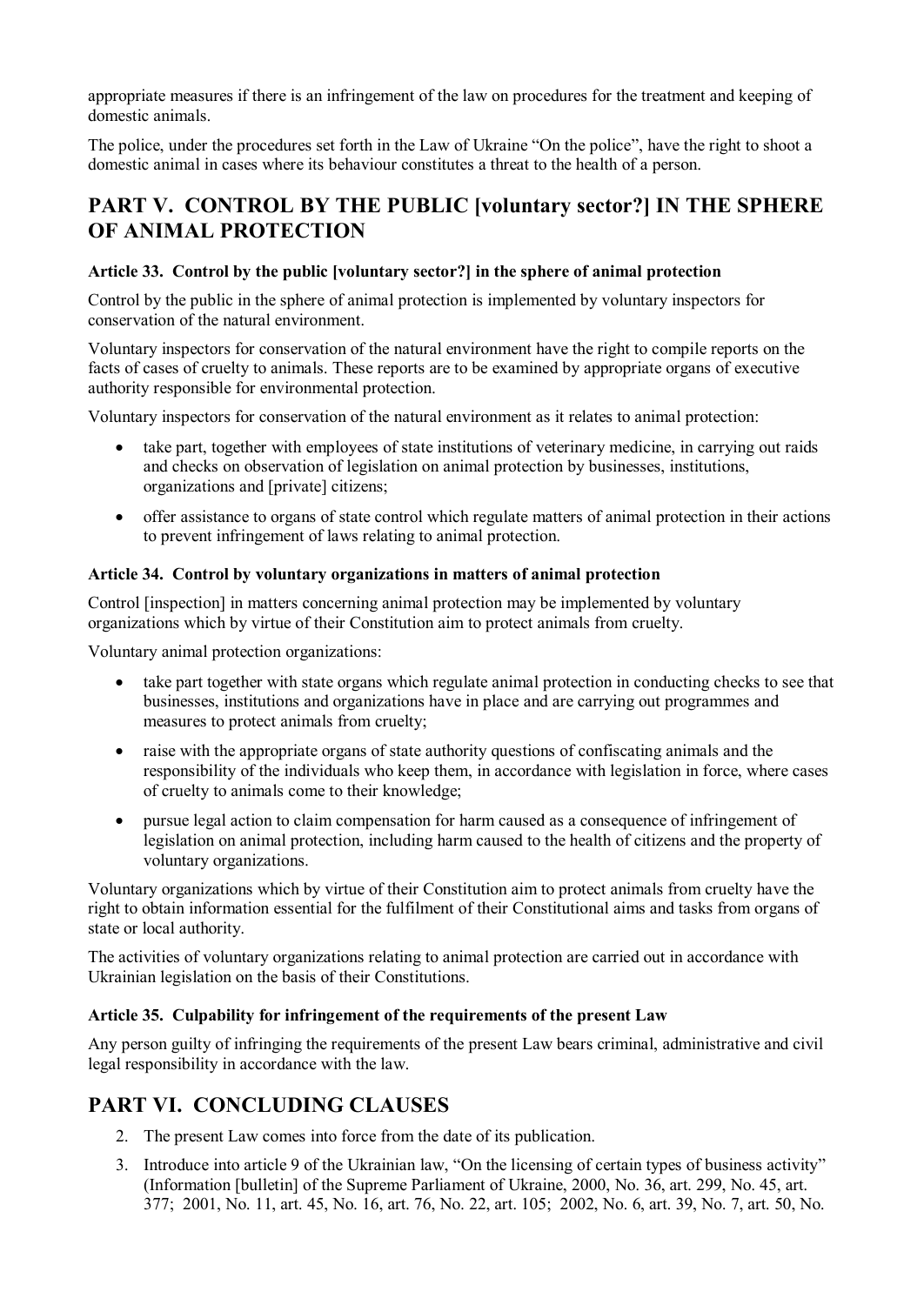appropriate measures if there is an infringement of the law on procedures for the treatment and keeping of domestic animals.

The police, under the procedures set forth in the Law of Ukraine "On the police", have the right to shoot a domestic animal in cases where its behaviour constitutes a threat to the health of a person.

## **PART V. CONTROL BY THE PUBLIC [voluntary sector?] IN THE SPHERE OF ANIMAL PROTECTION**

## **Article 33. Control by the public [voluntary sector?] in the sphere of animal protection**

Control by the public in the sphere of animal protection is implemented by voluntary inspectors for conservation of the natural environment.

Voluntary inspectors for conservation of the natural environment have the right to compile reports on the facts of cases of cruelty to animals. These reports are to be examined by appropriate organs of executive authority responsible for environmental protection.

Voluntary inspectors for conservation of the natural environment as it relates to animal protection:

- take part, together with employees of state institutions of veterinary medicine, in carrying out raids and checks on observation of legislation on animal protection by businesses, institutions, organizations and [private] citizens;
- · offer assistance to organs of state control which regulate matters of animal protection in their actions to prevent infringement of laws relating to animal protection.

## **Article 34. Control by voluntary organizations in matters of animal protection**

Control [inspection] in matters concerning animal protection may be implemented by voluntary organizations which by virtue of their Constitution aim to protect animals from cruelty.

Voluntary animal protection organizations:

- take part together with state organs which regulate animal protection in conducting checks to see that businesses, institutions and organizations have in place and are carrying out programmes and measures to protect animals from cruelty;
- · raise with the appropriate organs of state authority questions of confiscating animals and the responsibility of the individuals who keep them, in accordance with legislation in force, where cases of cruelty to animals come to their knowledge;
- · pursue legal action to claim compensation for harm caused as a consequence of infringement of legislation on animal protection, including harm caused to the health of citizens and the property of voluntary organizations.

Voluntary organizations which by virtue of their Constitution aim to protect animals from cruelty have the right to obtain information essential for the fulfilment of their Constitutional aims and tasks from organs of state or local authority.

The activities of voluntary organizations relating to animal protection are carried out in accordance with Ukrainian legislation on the basis of their Constitutions.

## **Article 35. Culpability for infringement of the requirements of the present Law**

Any person guilty of infringing the requirements of the present Law bears criminal, administrative and civil legal responsibility in accordance with the law.

## **PART VI. CONCLUDING CLAUSES**

- 2. The present Law comes into force from the date of its publication.
- 3. Introduce into article 9 of the Ukrainian law, "On the licensing of certain types of business activity" (Information [bulletin] of the Supreme Parliament of Ukraine, 2000, No. 36, art. 299, No. 45, art. 377; 2001, No. 11, art. 45, No. 16, art. 76, No. 22, art. 105; 2002, No. 6, art. 39, No. 7, art. 50, No.